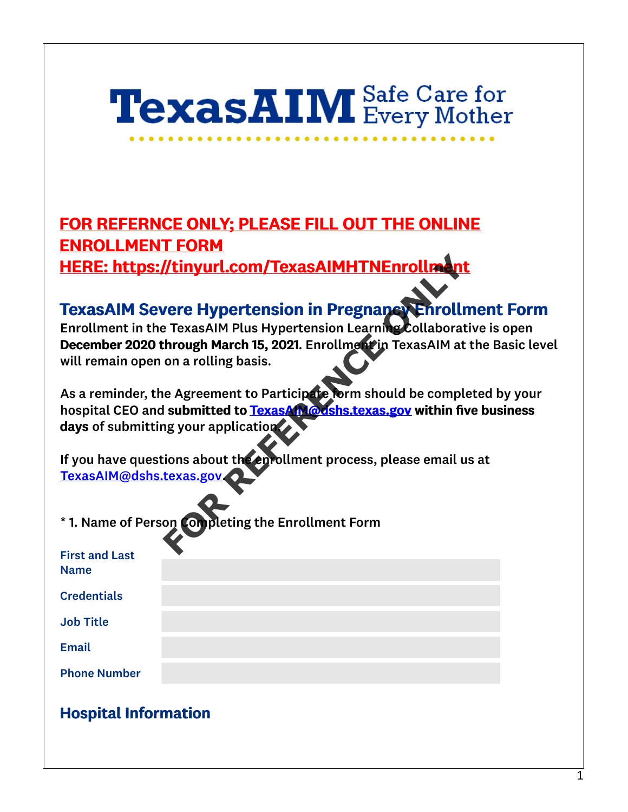# **TexasAIM** Safe Care for

FOR REFERNCE ONLY; PLEASE FILL OUT THE ONLINE ENROLLMENT FORM HERE: https://tinyurl.com/TexasAIMHTNEnrollment

## TexasAIM Severe Hypertension in Pregnancy Enrollment Form

Enrollment in the TexasAIM Plus Hypertension Learning Collaborative is open December 2020 through March 15, 2021. Enrollment in TexasAIM at the Basic level will remain open on a rolling basis.

As a reminder, the Agreement to Participate form should be completed by your hospital CEO and submitted to TexasAIM@dshs.texas.gov within five business days of submitting your application. **For All Accounts Transformation**<br>
For All Accounts Transformation Collaborat<br>
For Form and Plus Hypertension Learning Collaborat<br>
For Agreement to Participate form should be completed to TexasA<br>
In a rolling basis.<br>
For A

If you have questions about the enrollment process, please email us at [TexasAIM@dshs.texas.gov](mailto:TexasAIM@dshs.texas.gov).

\* 1. Name of Person Completing the Enrollment Form

| <b>First and Last</b> |  |  |
|-----------------------|--|--|
| <b>Name</b>           |  |  |
|                       |  |  |
| <b>Credentials</b>    |  |  |
|                       |  |  |
| <b>Job Title</b>      |  |  |
|                       |  |  |
| <b>Email</b>          |  |  |
|                       |  |  |
| <b>Phone Number</b>   |  |  |

### Hospital Information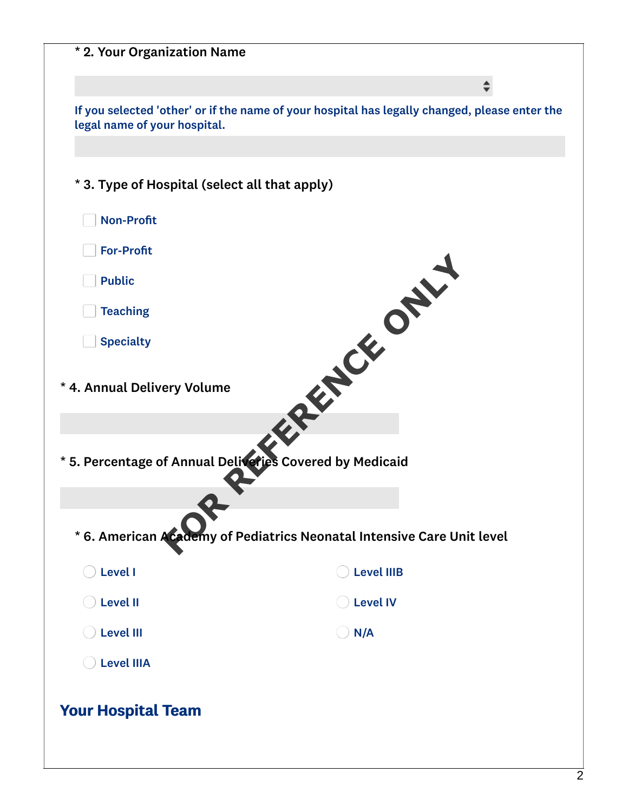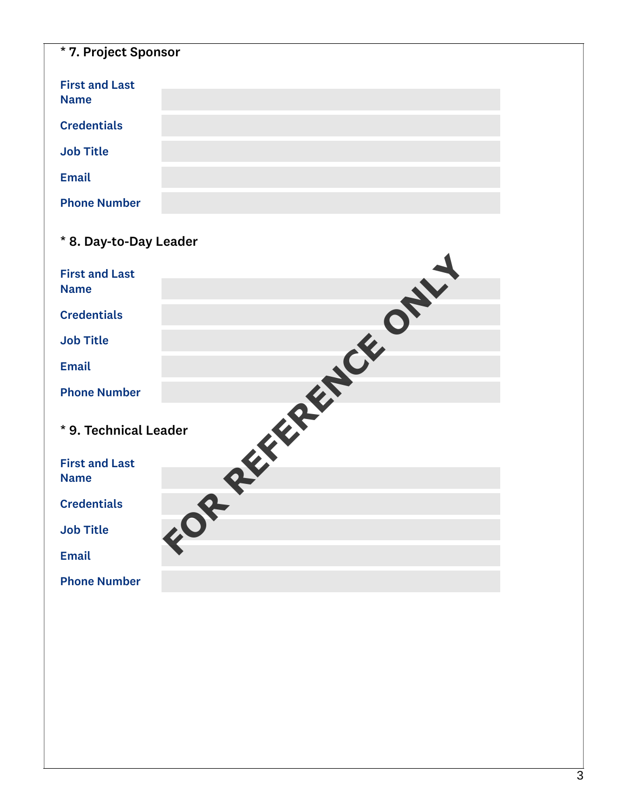| * 7. Project Sponsor                 |  |
|--------------------------------------|--|
| <b>First and Last</b><br><b>Name</b> |  |
| <b>Credentials</b>                   |  |
| <b>Job Title</b>                     |  |
| <b>Email</b>                         |  |
| <b>Phone Number</b>                  |  |

| * 8. Day-to-Day Leader |  |  |  |
|------------------------|--|--|--|
| <b>First and Last</b>  |  |  |  |
| <b>Name</b>            |  |  |  |
| <b>Credentials</b>     |  |  |  |
| <b>Job Title</b>       |  |  |  |
| <b>Email</b>           |  |  |  |
| <b>Phone Number</b>    |  |  |  |
| * 9. Technical Leader  |  |  |  |
| <b>First and Last</b>  |  |  |  |
| <b>Name</b>            |  |  |  |
| <b>Credentials</b>     |  |  |  |
| <b>Job Title</b>       |  |  |  |
| <b>Email</b>           |  |  |  |
| <b>Phone Number</b>    |  |  |  |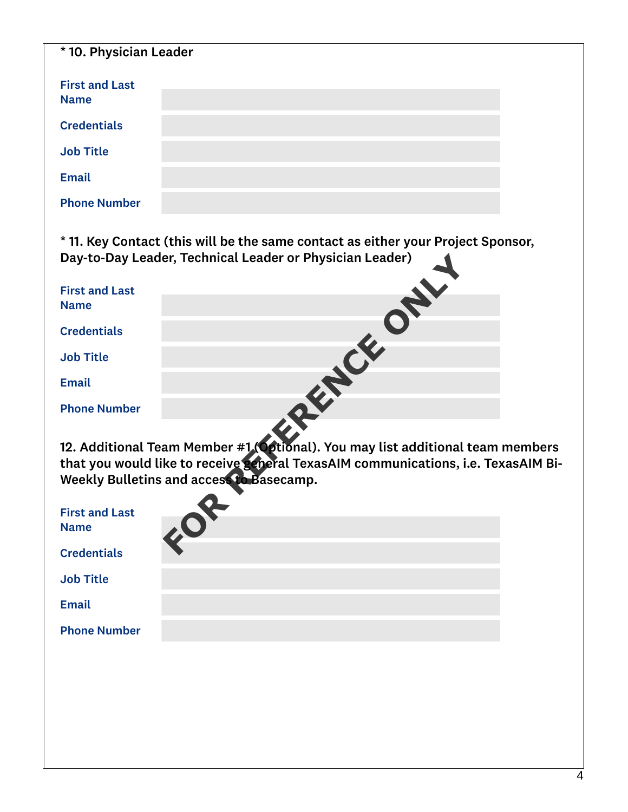| * 10. Physician Leader               |  |  |
|--------------------------------------|--|--|
| <b>First and Last</b><br><b>Name</b> |  |  |
| <b>Credentials</b>                   |  |  |
| <b>Job Title</b>                     |  |  |
| <b>Email</b>                         |  |  |
| <b>Phone Number</b>                  |  |  |

\* 11. Key Contact (this will be the same contact as either your Project Sponsor, Day-to-Day Leader, Technical Leader or Physician Leader)

|                                      | Day-to-Day Leader, Technical Leader or Physician Leader)                                                                                                                                          |
|--------------------------------------|---------------------------------------------------------------------------------------------------------------------------------------------------------------------------------------------------|
| <b>First and Last</b>                |                                                                                                                                                                                                   |
| <b>Name</b>                          |                                                                                                                                                                                                   |
| <b>Credentials</b>                   |                                                                                                                                                                                                   |
| <b>Job Title</b>                     |                                                                                                                                                                                                   |
| <b>Email</b>                         |                                                                                                                                                                                                   |
| <b>Phone Number</b>                  |                                                                                                                                                                                                   |
|                                      | 12. Additional Team Member #1 (Optional). You may list additional team n<br>that you would like to receive general TexasAIM communications, i.e. Texa<br>Weekly Bulletins and access to Basecamp. |
| <b>First and Last</b><br><b>Name</b> |                                                                                                                                                                                                   |
| <b>Credentials</b>                   |                                                                                                                                                                                                   |

12. Additional Team Member #1 (Optional). You may list additional team members that you would like to receive general TexasAIM communications, i.e. TexasAIM Bi-Weekly Bulletins and access to Basecamp.

| <b>First and Last</b><br><b>Name</b> |  |  |
|--------------------------------------|--|--|
| <b>Credentials</b>                   |  |  |
| <b>Job Title</b>                     |  |  |
| <b>Email</b>                         |  |  |
| <b>Phone Number</b>                  |  |  |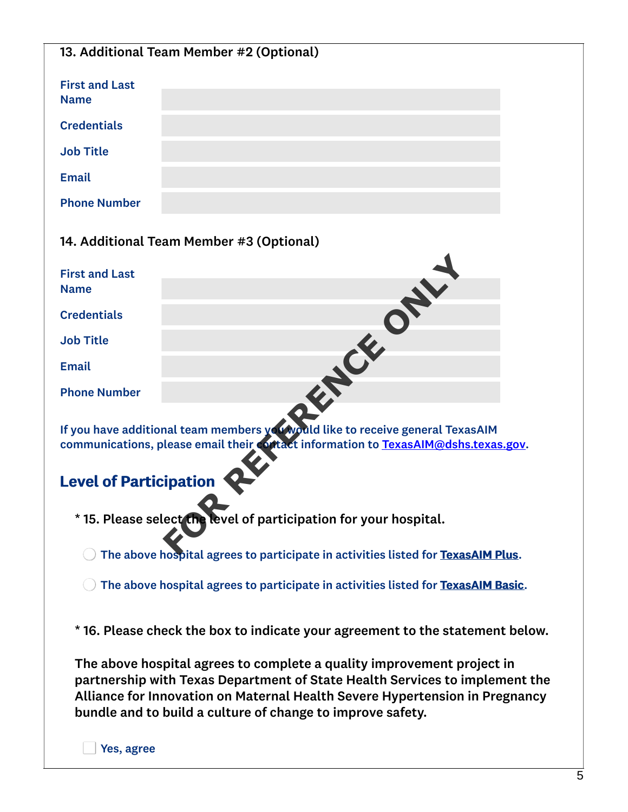| 13. Additional Team Member #2 (Optional) |                                          |  |
|------------------------------------------|------------------------------------------|--|
|                                          |                                          |  |
|                                          |                                          |  |
| <b>First and Last</b>                    |                                          |  |
| <b>Name</b>                              |                                          |  |
|                                          |                                          |  |
| <b>Credentials</b>                       |                                          |  |
|                                          |                                          |  |
| <b>Job Title</b>                         |                                          |  |
|                                          |                                          |  |
| <b>Email</b>                             |                                          |  |
|                                          |                                          |  |
|                                          |                                          |  |
| <b>Phone Number</b>                      |                                          |  |
|                                          |                                          |  |
|                                          |                                          |  |
|                                          | 14. Additional Team Member #3 (Optional) |  |
|                                          |                                          |  |
|                                          |                                          |  |

| <b>First and Last</b>         |                                                                                                                                                                      |
|-------------------------------|----------------------------------------------------------------------------------------------------------------------------------------------------------------------|
| <b>Name</b>                   |                                                                                                                                                                      |
| <b>Credentials</b>            |                                                                                                                                                                      |
| <b>Job Title</b>              |                                                                                                                                                                      |
| <b>Email</b>                  |                                                                                                                                                                      |
| <b>Phone Number</b>           |                                                                                                                                                                      |
|                               | If you have additional team members you would like to receive general TexasAIM<br>communications, please email their cortact information to TexasAIM@dshs.texas.gov. |
| <b>Level of Participation</b> |                                                                                                                                                                      |
|                               | *15. Please select the level of participation for your hospital.                                                                                                     |
|                               | The above hochital agrees to narticinate in activities listed for Texas AIM Plus                                                                                     |

## Level of Participation

- \* 15. Please select the level of participation for your hospital.
	- The above hospital agrees to participate in activities listed for TexasAIM Plus.
	- $\bigcirc$  The above hospital agrees to participate in activities listed for TexasAIM Basic.
- \* 16. Please check the box to indicate your agreement to the statement below.

The above hospital agrees to complete a quality improvement project in partnership with Texas Department of State Health Services to implement the Alliance for Innovation on Maternal Health Severe Hypertension in Pregnancy bundle and to build a culture of change to improve safety.